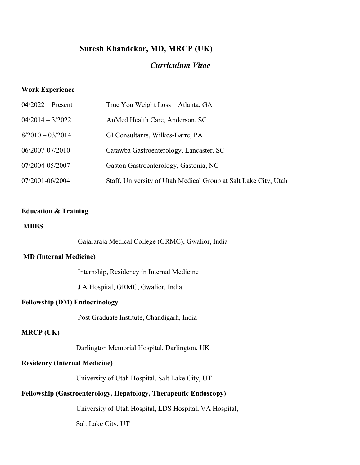# **Suresh Khandekar, MD, MRCP (UK)**

# *Curriculum Vitae*

#### **Work Experience**

| $04/2022$ – Present | True You Weight Loss - Atlanta, GA                              |
|---------------------|-----------------------------------------------------------------|
| $04/2014 - 3/2022$  | AnMed Health Care, Anderson, SC                                 |
| $8/2010 - 03/2014$  | GI Consultants, Wilkes-Barre, PA                                |
| 06/2007-07/2010     | Catawba Gastroenterology, Lancaster, SC                         |
| 07/2004-05/2007     | Gaston Gastroenterology, Gastonia, NC                           |
| 07/2001-06/2004     | Staff, University of Utah Medical Group at Salt Lake City, Utah |

# **Education & Training**

### **MBBS**

Gajararaja Medical College (GRMC), Gwalior, India

#### **MD (Internal Medicine)**

Internship, Residency in Internal Medicine

J A Hospital, GRMC, Gwalior, India

#### **Fellowship (DM) Endocrinology**

Post Graduate Institute, Chandigarh, India

### **MRCP (UK)**

Darlington Memorial Hospital, Darlington, UK

### **Residency (Internal Medicine)**

University of Utah Hospital, Salt Lake City, UT

# **Fellowship (Gastroenterology, Hepatology, Therapeutic Endoscopy)**

University of Utah Hospital, LDS Hospital, VA Hospital,

Salt Lake City, UT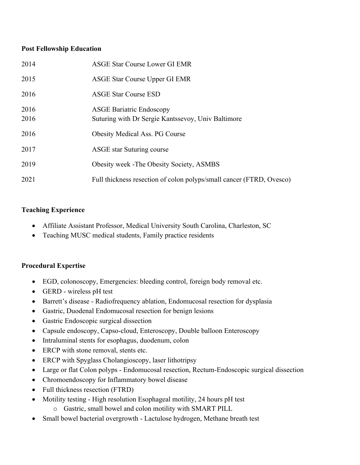### **Post Fellowship Education**

| 2014         | <b>ASGE Star Course Lower GI EMR</b>                                                  |
|--------------|---------------------------------------------------------------------------------------|
| 2015         | ASGE Star Course Upper GI EMR                                                         |
| 2016         | <b>ASGE Star Course ESD</b>                                                           |
| 2016<br>2016 | <b>ASGE Bariatric Endoscopy</b><br>Suturing with Dr Sergie Kantssevoy, Univ Baltimore |
| 2016         | <b>Obesity Medical Ass. PG Course</b>                                                 |
| 2017         | ASGE star Suturing course                                                             |
| 2019         | <b>Obesity week - The Obesity Society, ASMBS</b>                                      |
| 2021         | Full thickness resection of colon polyps/small cancer (FTRD, Ovesco)                  |

## **Teaching Experience**

- Affiliate Assistant Professor, Medical University South Carolina, Charleston, SC
- Teaching MUSC medical students, Family practice residents

### **Procedural Expertise**

- EGD, colonoscopy, Emergencies: bleeding control, foreign body removal etc.
- GERD wireless pH test
- Barrett's disease Radiofrequency ablation, Endomucosal resection for dysplasia
- Gastric, Duodenal Endomucosal resection for benign lesions
- Gastric Endoscopic surgical dissection
- Capsule endoscopy, Capso-cloud, Enteroscopy, Double balloon Enteroscopy
- Intraluminal stents for esophagus, duodenum, colon
- ERCP with stone removal, stents etc.
- ERCP with Spyglass Cholangioscopy, laser lithotripsy
- Large or flat Colon polyps Endomucosal resection, Rectum-Endoscopic surgical dissection
- Chromoendoscopy for Inflammatory bowel disease
- Full thickness resection (FTRD)
- Motility testing High resolution Esophageal motility, 24 hours pH test
	- o Gastric, small bowel and colon motility with SMART PILL
- Small bowel bacterial overgrowth Lactulose hydrogen, Methane breath test